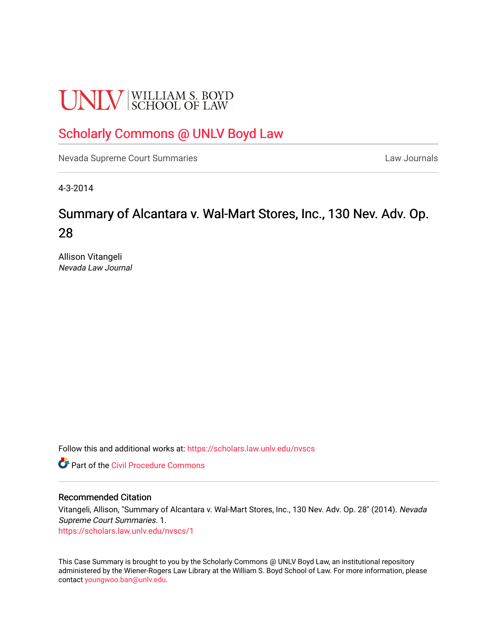# **UNLV** SCHOOL OF LAW

# [Scholarly Commons @ UNLV Boyd Law](https://scholars.law.unlv.edu/)

[Nevada Supreme Court Summaries](https://scholars.law.unlv.edu/nvscs) **Law Journals** Law Journals

4-3-2014

# Summary of Alcantara v. Wal-Mart Stores, Inc., 130 Nev. Adv. Op. 28

Allison Vitangeli Nevada Law Journal

Follow this and additional works at: [https://scholars.law.unlv.edu/nvscs](https://scholars.law.unlv.edu/nvscs?utm_source=scholars.law.unlv.edu%2Fnvscs%2F1&utm_medium=PDF&utm_campaign=PDFCoverPages)

**C** Part of the Civil Procedure Commons

# Recommended Citation

Vitangeli, Allison, "Summary of Alcantara v. Wal-Mart Stores, Inc., 130 Nev. Adv. Op. 28" (2014). Nevada Supreme Court Summaries. 1. [https://scholars.law.unlv.edu/nvscs/1](https://scholars.law.unlv.edu/nvscs/1?utm_source=scholars.law.unlv.edu%2Fnvscs%2F1&utm_medium=PDF&utm_campaign=PDFCoverPages) 

This Case Summary is brought to you by the Scholarly Commons @ UNLV Boyd Law, an institutional repository administered by the Wiener-Rogers Law Library at the William S. Boyd School of Law. For more information, please contact [youngwoo.ban@unlv.edu](mailto:youngwoo.ban@unlv.edu).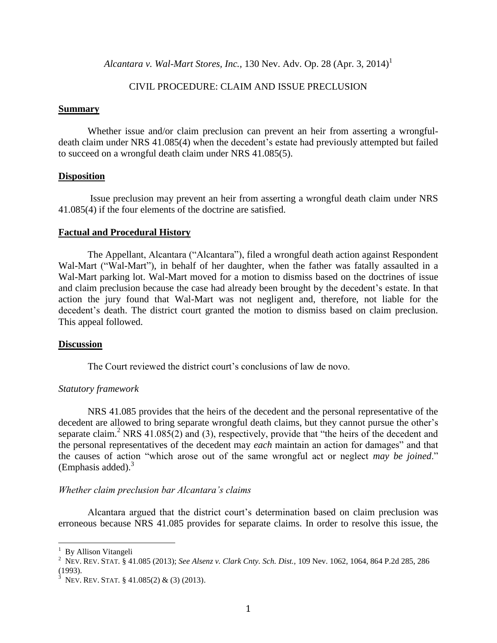*Alcantara v. Wal-Mart Stores, Inc.,* 130 Nev. Adv. Op. 28  $(Apr. 3, 2014)^1$ 

# CIVIL PROCEDURE: CLAIM AND ISSUE PRECLUSION

# **Summary**

Whether issue and/or claim preclusion can prevent an heir from asserting a wrongfuldeath claim under NRS 41.085(4) when the decedent's estate had previously attempted but failed to succeed on a wrongful death claim under NRS 41.085(5).

# **Disposition**

Issue preclusion may prevent an heir from asserting a wrongful death claim under NRS 41.085(4) if the four elements of the doctrine are satisfied.

#### **Factual and Procedural History**

The Appellant, Alcantara ("Alcantara"), filed a wrongful death action against Respondent Wal-Mart ("Wal-Mart"), in behalf of her daughter, when the father was fatally assaulted in a Wal-Mart parking lot. Wal-Mart moved for a motion to dismiss based on the doctrines of issue and claim preclusion because the case had already been brought by the decedent's estate. In that action the jury found that Wal-Mart was not negligent and, therefore, not liable for the decedent's death. The district court granted the motion to dismiss based on claim preclusion. This appeal followed.

#### **Discussion**

The Court reviewed the district court's conclusions of law de novo.

# *Statutory framework*

NRS 41.085 provides that the heirs of the decedent and the personal representative of the decedent are allowed to bring separate wrongful death claims, but they cannot pursue the other's separate claim.<sup>2</sup> NRS 41.085(2) and (3), respectively, provide that "the heirs of the decedent and the personal representatives of the decedent may *each* maintain an action for damages" and that the causes of action "which arose out of the same wrongful act or neglect *may be joined*." (Emphasis added). $3$ 

# *Whether claim preclusion bar Alcantara's claims*

Alcantara argued that the district court's determination based on claim preclusion was erroneous because NRS 41.085 provides for separate claims. In order to resolve this issue, the

 $\overline{a}$ 

<sup>&</sup>lt;sup>1</sup> By Allison Vitangeli

<sup>2</sup> NEV. REV. STAT. § 41.085 (2013); *See Alsenz v. Clark Cnty. Sch. Dist.,* 109 Nev. 1062, 1064, 864 P.2d 285, 286 (1993).

<sup>&</sup>lt;sup>3</sup> Nev. Rev. Stat. § 41.085(2) & (3) (2013).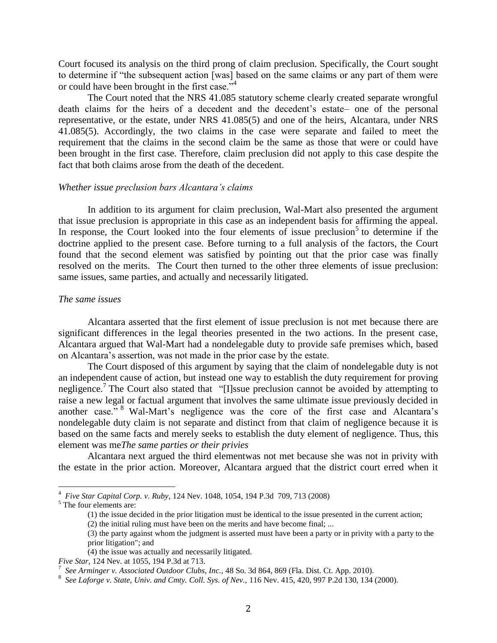Court focused its analysis on the third prong of claim preclusion. Specifically, the Court sought to determine if "the subsequent action [was] based on the same claims or any part of them were or could have been brought in the first case."<sup>4</sup>

The Court noted that the NRS 41.085 statutory scheme clearly created separate wrongful death claims for the heirs of a decedent and the decedent's estate– one of the personal representative, or the estate, under NRS 41.085(5) and one of the heirs, Alcantara, under NRS 41.085(5). Accordingly, the two claims in the case were separate and failed to meet the requirement that the claims in the second claim be the same as those that were or could have been brought in the first case. Therefore, claim preclusion did not apply to this case despite the fact that both claims arose from the death of the decedent.

# *Whether issue preclusion bars Alcantara's claims*

In addition to its argument for claim preclusion, Wal-Mart also presented the argument that issue preclusion is appropriate in this case as an independent basis for affirming the appeal. In response, the Court looked into the four elements of issue preclusion<sup>5</sup> to determine if the doctrine applied to the present case. Before turning to a full analysis of the factors, the Court found that the second element was satisfied by pointing out that the prior case was finally resolved on the merits. The Court then turned to the other three elements of issue preclusion: same issues, same parties, and actually and necessarily litigated.

# *The same issues*

Alcantara asserted that the first element of issue preclusion is not met because there are significant differences in the legal theories presented in the two actions. In the present case, Alcantara argued that Wal-Mart had a nondelegable duty to provide safe premises which, based on Alcantara's assertion, was not made in the prior case by the estate.

The Court disposed of this argument by saying that the claim of nondelegable duty is not an independent cause of action, but instead one way to establish the duty requirement for proving negligence.<sup>7</sup> The Court also stated that "[I]ssue preclusion cannot be avoided by attempting to raise a new legal or factual argument that involves the same ultimate issue previously decided in another case." <sup>8</sup> Wal-Mart's negligence was the core of the first case and Alcantara's nondelegable duty claim is not separate and distinct from that claim of negligence because it is based on the same facts and merely seeks to establish the duty element of negligence. Thus, this element was me*The same parties or their privies*

Alcantara next argued the third elementwas not met because she was not in privity with the estate in the prior action. Moreover, Alcantara argued that the district court erred when it

 $\overline{a}$ 

<sup>4</sup> *Five Star Capital Corp. v. Ruby*, 124 Nev. 1048, 1054, 194 P.3d 709, 713 (2008)

<sup>&</sup>lt;sup>5</sup> The four elements are:

<sup>(1)</sup> the issue decided in the prior litigation must be identical to the issue presented in the current action;

<sup>(2)</sup> the initial ruling must have been on the merits and have become final; ...

<sup>(3)</sup> the party against whom the judgment is asserted must have been a party or in privity with a party to the prior litigation"; and

<sup>(4)</sup> the issue was actually and necessarily litigated.

*Five Star,* 124 Nev. at 1055, 194 P.3d at 713. 7 *See Arminger v. Associated Outdoor Clubs, Inc.,* 48 So. 3d 864, 869 (Fla. Dist. Ct. App. 2010).

<sup>8</sup> *See Laforge v. State, Univ. and Cmty. Coll. Sys. of Nev.,* 116 Nev. 415, 420, 997 P.2d 130, 134 (2000).